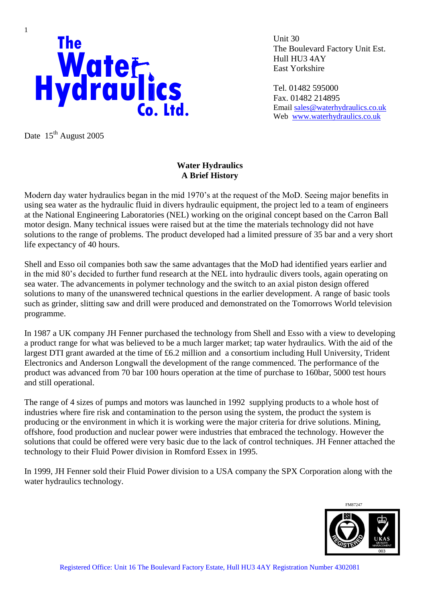

Date 15<sup>th</sup> August 2005

Unit 30 The Boulevard Factory Unit Est. Hull HU3 4AY East Yorkshire

Tel. 01482 595000 Fax. 01482 214895 Email [sales@waterhydraulics.co.uk](mailto:sales@waterhydraulics.co.uk) Web [www.waterhydraulics.co.uk](http://www.waterhydraulics.co.uk/)

## **Water Hydraulics A Brief History**

Modern day water hydraulics began in the mid 1970's at the request of the MoD. Seeing major benefits in using sea water as the hydraulic fluid in divers hydraulic equipment, the project led to a team of engineers at the National Engineering Laboratories (NEL) working on the original concept based on the Carron Ball motor design. Many technical issues were raised but at the time the materials technology did not have solutions to the range of problems. The product developed had a limited pressure of 35 bar and a very short life expectancy of 40 hours.

Shell and Esso oil companies both saw the same advantages that the MoD had identified years earlier and in the mid 80's decided to further fund research at the NEL into hydraulic divers tools, again operating on sea water. The advancements in polymer technology and the switch to an axial piston design offered solutions to many of the unanswered technical questions in the earlier development. A range of basic tools such as grinder, slitting saw and drill were produced and demonstrated on the Tomorrows World television programme.

In 1987 a UK company JH Fenner purchased the technology from Shell and Esso with a view to developing a product range for what was believed to be a much larger market; tap water hydraulics. With the aid of the largest DTI grant awarded at the time of £6.2 million and a consortium including Hull University, Trident Electronics and Anderson Longwall the development of the range commenced. The performance of the product was advanced from 70 bar 100 hours operation at the time of purchase to 160bar, 5000 test hours and still operational.

The range of 4 sizes of pumps and motors was launched in 1992 supplying products to a whole host of industries where fire risk and contamination to the person using the system, the product the system is producing or the environment in which it is working were the major criteria for drive solutions. Mining, offshore, food production and nuclear power were industries that embraced the technology. However the solutions that could be offered were very basic due to the lack of control techniques. JH Fenner attached the technology to their Fluid Power division in Romford Essex in 1995.

In 1999, JH Fenner sold their Fluid Power division to a USA company the SPX Corporation along with the water hydraulics technology.